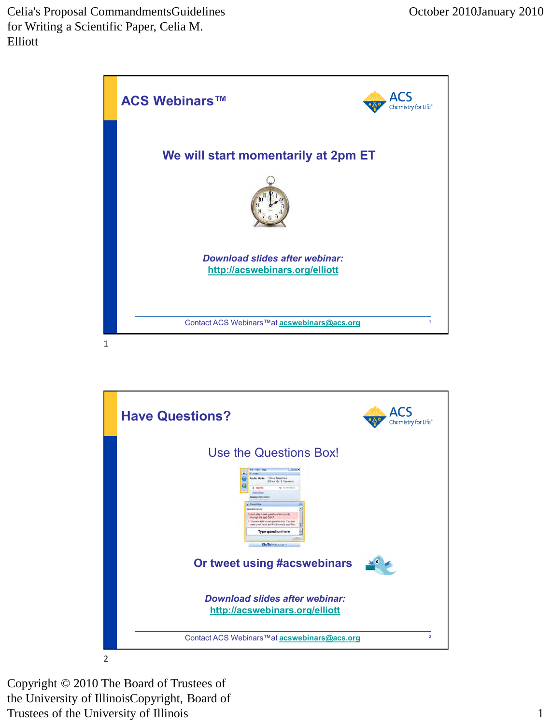

ACS **Have Questions?** Chemistry for Life® Use the Questions Box! **Or tweet using #acswebinars** *Download slides after webinar:* **<http://acswebinars.org/elliott>** Contact ACS Webinars™at **[acswebinars@acs.org](mailto:acswebinars@acs.org)** 22 2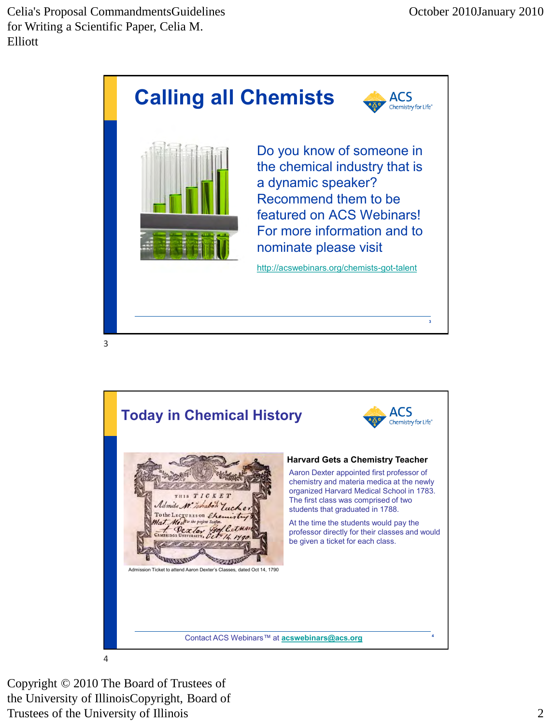

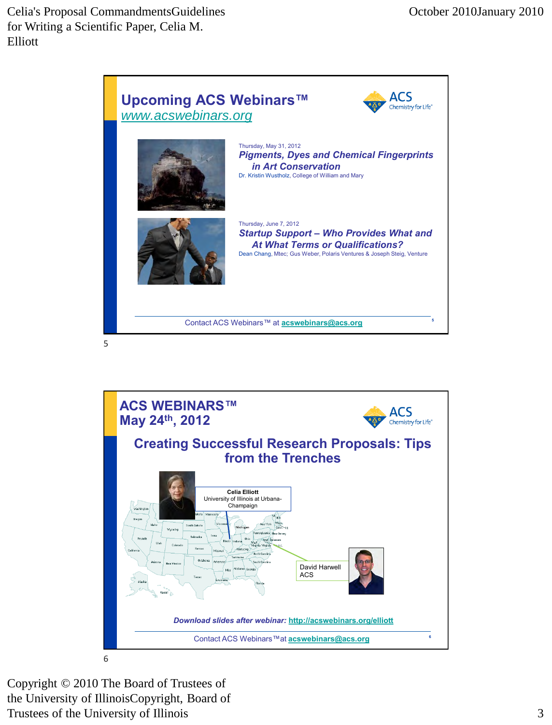

5

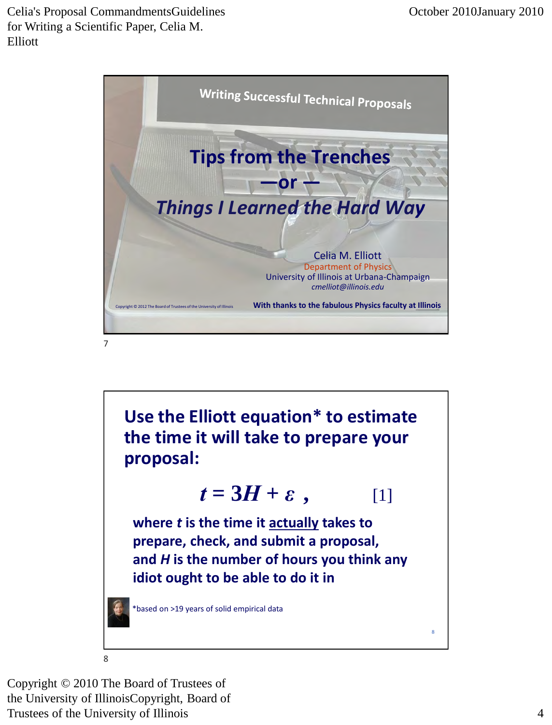

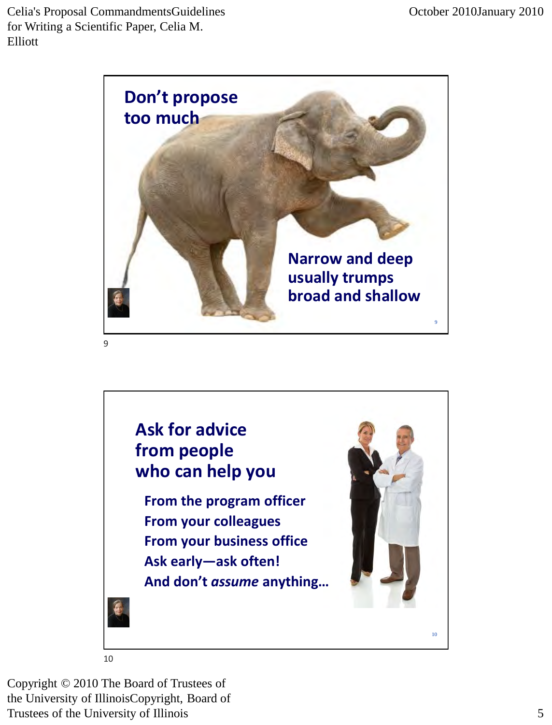

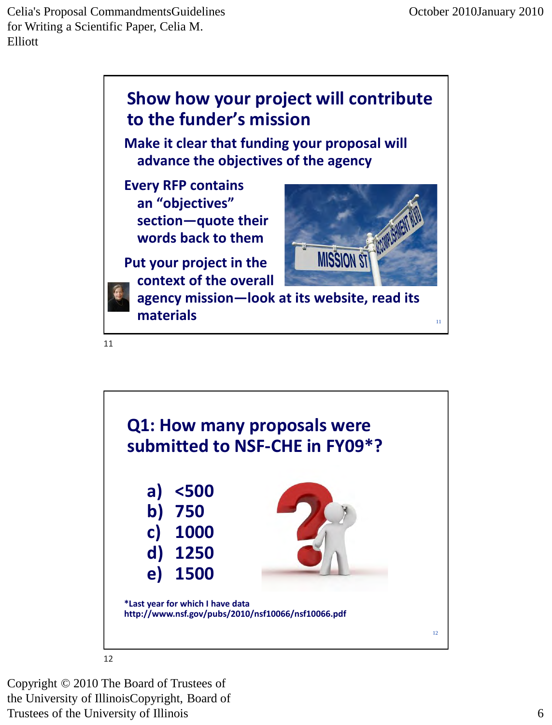

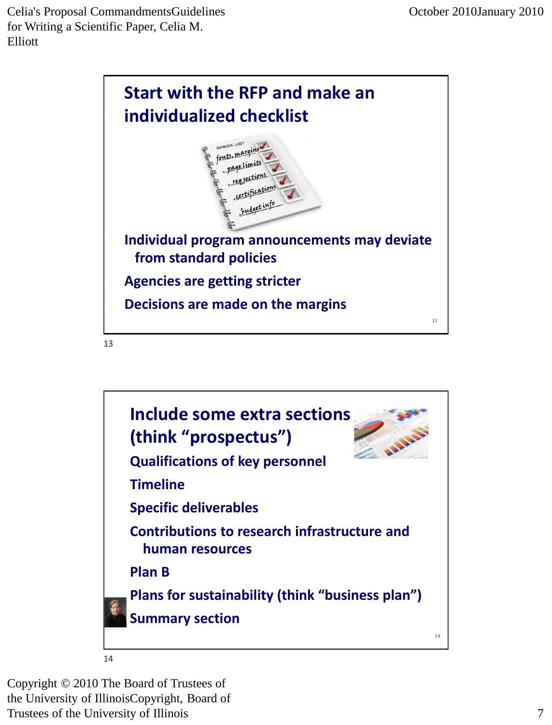

13

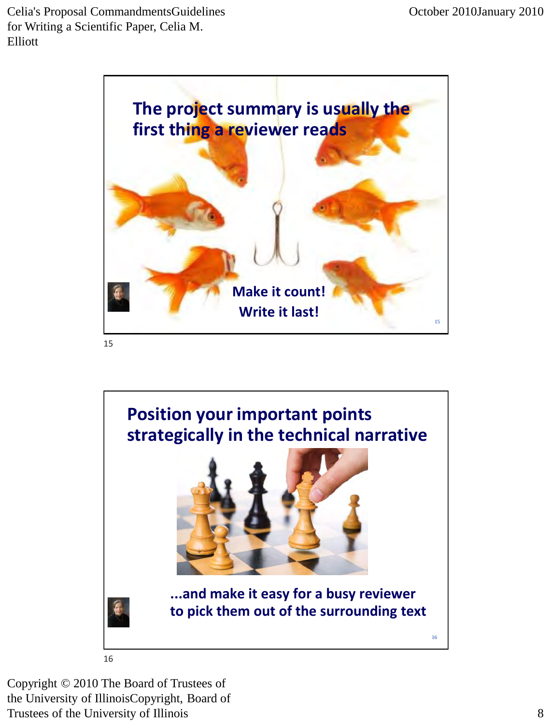

15

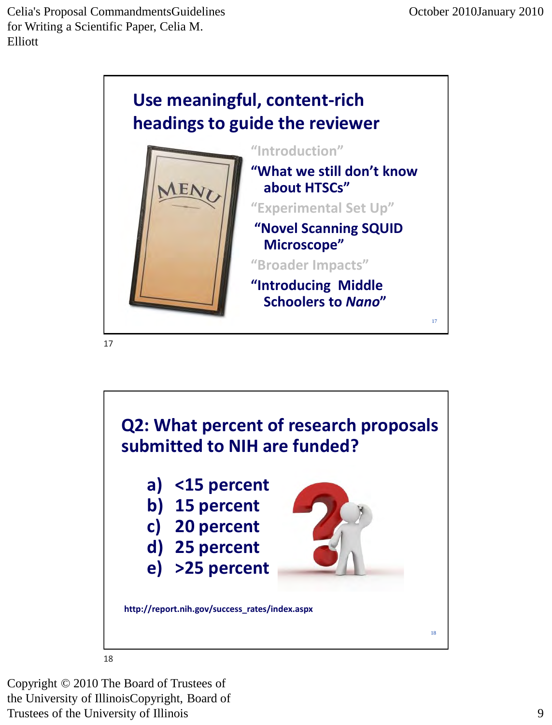

17



Copyright © 2010 The Board of Trustees of

the University of IllinoisCopyright, Board of Trustees of the University of Illinois 9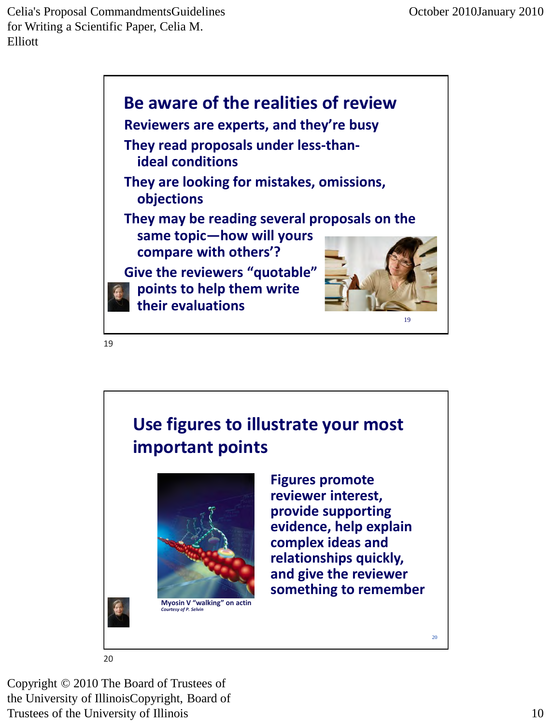

19

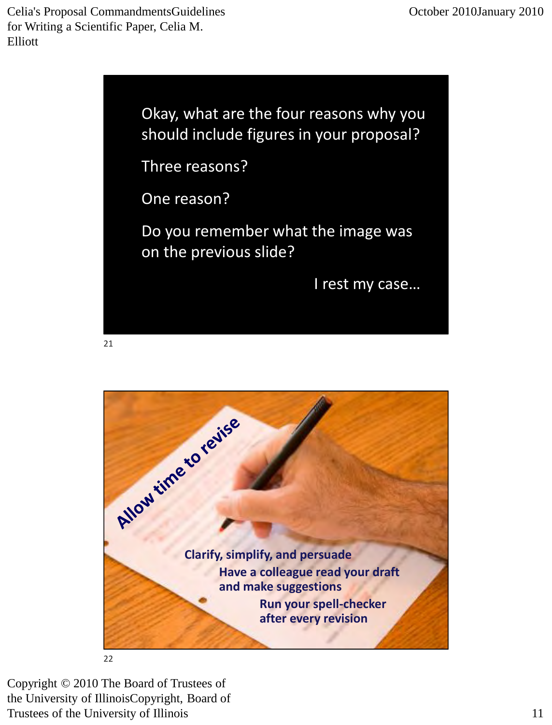> Okay, what are the four reasons why you should include figures in your proposal?

Three reasons?

One reason?

Do you remember what the image was on the previous slide?

I rest my case…



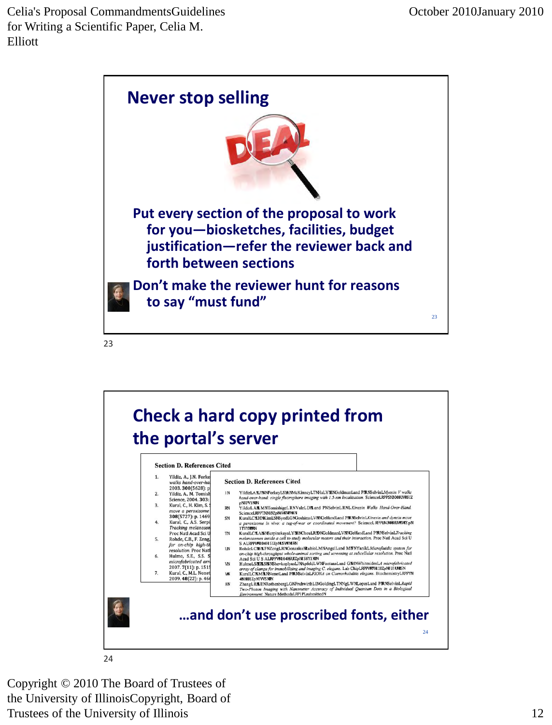

23

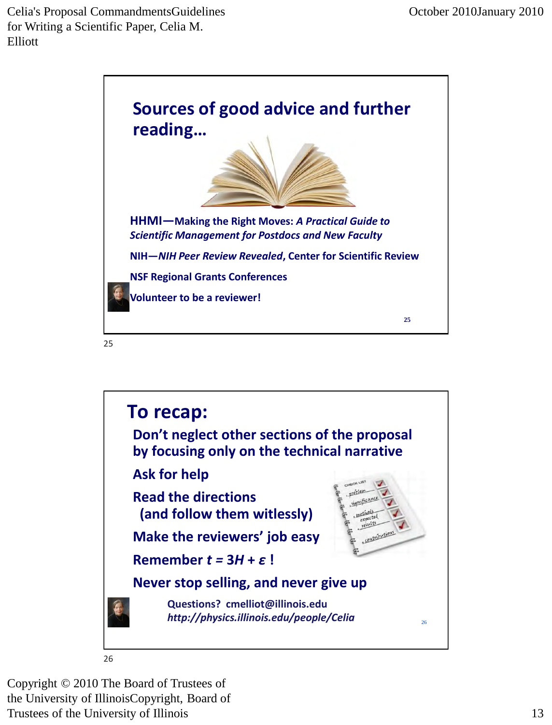

**To recap: Don't neglect other sections of the proposal by focusing only on the technical narrative Ask for help Read the directions (and follow them witlessly)** Contributions **Make the reviewers' job easy Remember** *t =* **3***H* **+** *ε* **! Never stop selling, and never give up Questions? cmelliot@illinois.edu** *http://physics.illinois.edu/people/Celia* <sup>26</sup> 26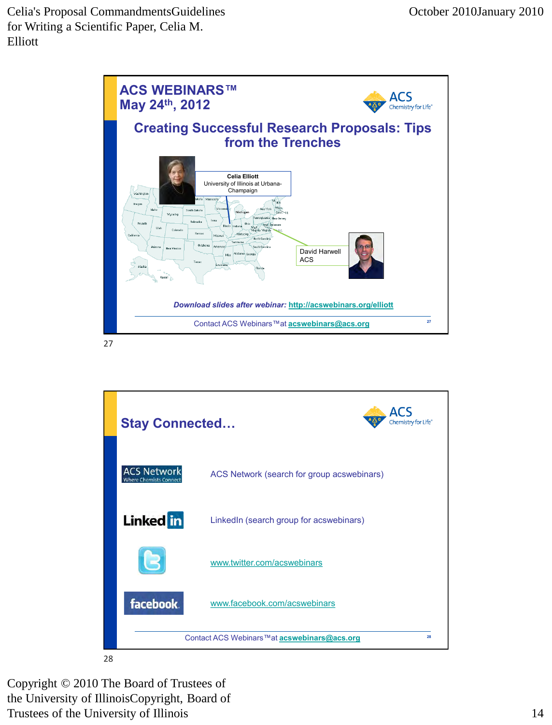

27